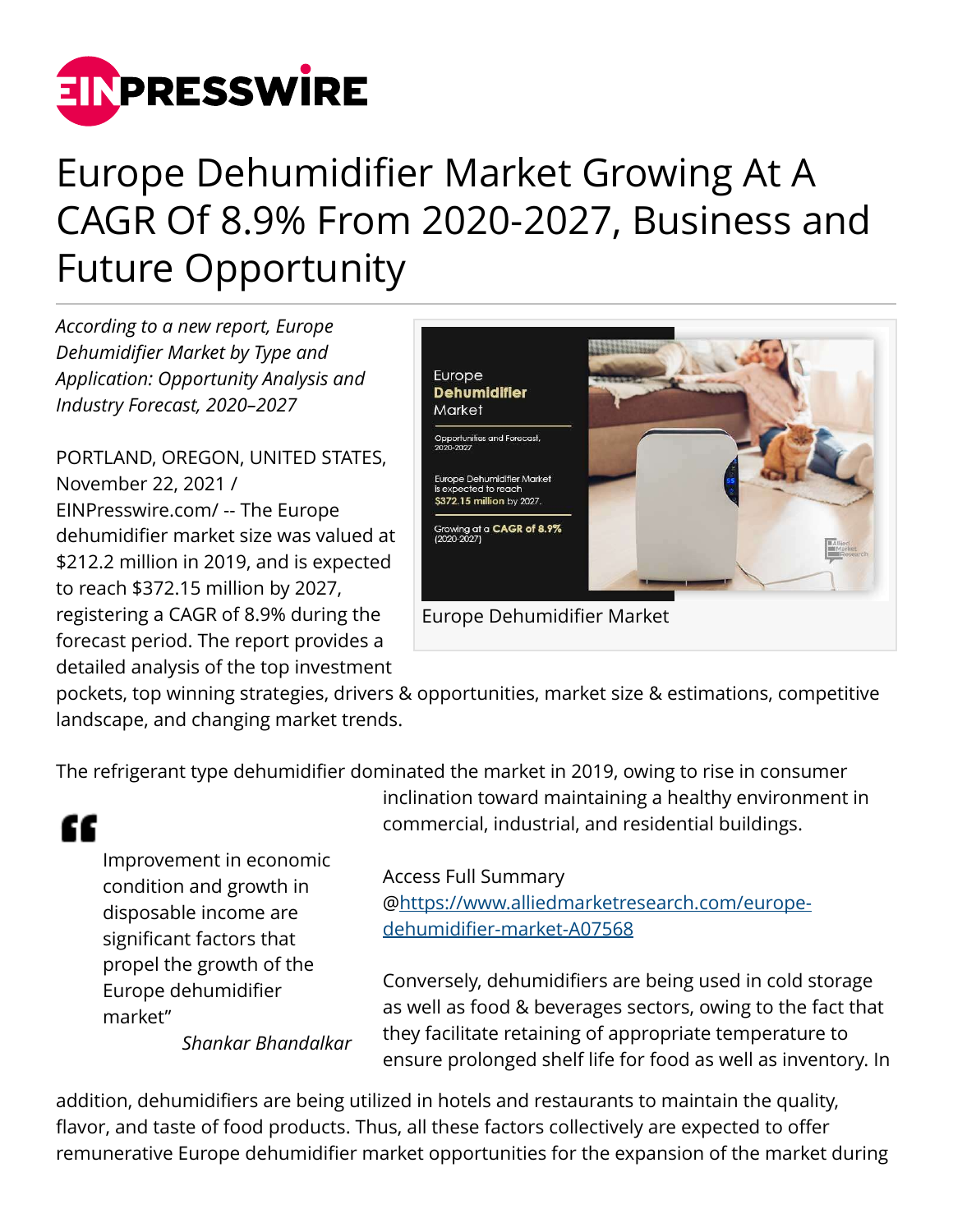

## Europe Dehumidifier Market Growing At A CAGR Of 8.9% From 2020-2027, Business and Future Opportunity

*According to a new report, Europe Dehumidifier Market by Type and Application: Opportunity Analysis and Industry Forecast, 2020–2027*

PORTLAND, OREGON, UNITED STATES, November 22, 2021 / [EINPresswire.com](http://www.einpresswire.com)/ -- The Europe dehumidifier market size was valued at \$212.2 million in 2019, and is expected to reach \$372.15 million by 2027, registering a CAGR of 8.9% during the forecast period. The report provides a detailed analysis of the top investment



pockets, top winning strategies, drivers & opportunities, market size & estimations, competitive landscape, and changing market trends.

The refrigerant type dehumidifier dominated the market in 2019, owing to rise in consumer

" Improvement in economic condition and growth in disposable income are significant factors that propel the growth of the Europe dehumidifier market"

inclination toward maintaining a healthy environment in commercial, industrial, and residential buildings.

Access Full Summary @[https://www.alliedmarketresearch.com/europe](https://www.alliedmarketresearch.com/europe-dehumidifier-market-A07568)[dehumidifier-market-A07568](https://www.alliedmarketresearch.com/europe-dehumidifier-market-A07568)

Conversely, dehumidifiers are being used in cold storage as well as food & beverages sectors, owing to the fact that they facilitate retaining of appropriate temperature to ensure prolonged shelf life for food as well as inventory. In

*Shankar Bhandalkar*

addition, dehumidifiers are being utilized in hotels and restaurants to maintain the quality, flavor, and taste of food products. Thus, all these factors collectively are expected to offer remunerative Europe dehumidifier market opportunities for the expansion of the market during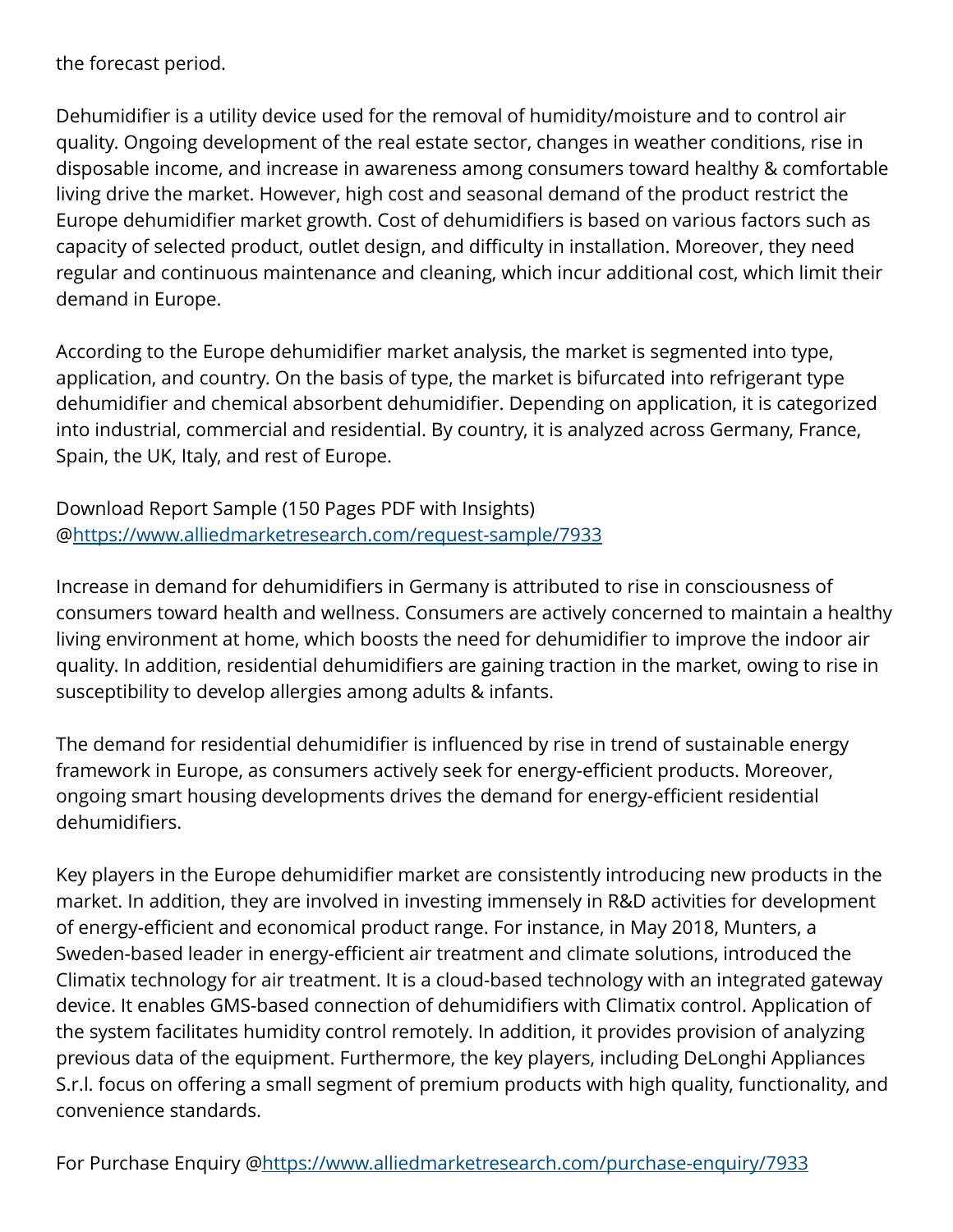the forecast period.

Dehumidifier is a utility device used for the removal of humidity/moisture and to control air quality. Ongoing development of the real estate sector, changes in weather conditions, rise in disposable income, and increase in awareness among consumers toward healthy & comfortable living drive the market. However, high cost and seasonal demand of the product restrict the Europe dehumidifier market growth. Cost of dehumidifiers is based on various factors such as capacity of selected product, outlet design, and difficulty in installation. Moreover, they need regular and continuous maintenance and cleaning, which incur additional cost, which limit their demand in Europe.

According to the Europe dehumidifier market analysis, the market is segmented into type, application, and country. On the basis of type, the market is bifurcated into refrigerant type dehumidifier and chemical absorbent dehumidifier. Depending on application, it is categorized into industrial, commercial and residential. By country, it is analyzed across Germany, France, Spain, the UK, Italy, and rest of Europe.

Download Report Sample (150 Pages PDF with Insights) @<https://www.alliedmarketresearch.com/request-sample/7933>

Increase in demand for dehumidifiers in Germany is attributed to rise in consciousness of consumers toward health and wellness. Consumers are actively concerned to maintain a healthy living environment at home, which boosts the need for dehumidifier to improve the indoor air quality. In addition, residential dehumidifiers are gaining traction in the market, owing to rise in susceptibility to develop allergies among adults & infants.

The demand for residential dehumidifier is influenced by rise in trend of sustainable energy framework in Europe, as consumers actively seek for energy-efficient products. Moreover, ongoing smart housing developments drives the demand for energy-efficient residential dehumidifiers.

Key players in the Europe dehumidifier market are consistently introducing new products in the market. In addition, they are involved in investing immensely in R&D activities for development of energy-efficient and economical product range. For instance, in May 2018, Munters, a Sweden-based leader in energy-efficient air treatment and climate solutions, introduced the Climatix technology for air treatment. It is a cloud-based technology with an integrated gateway device. It enables GMS-based connection of dehumidifiers with Climatix control. Application of the system facilitates humidity control remotely. In addition, it provides provision of analyzing previous data of the equipment. Furthermore, the key players, including DeLonghi Appliances S.r.l. focus on offering a small segment of premium products with high quality, functionality, and convenience standards.